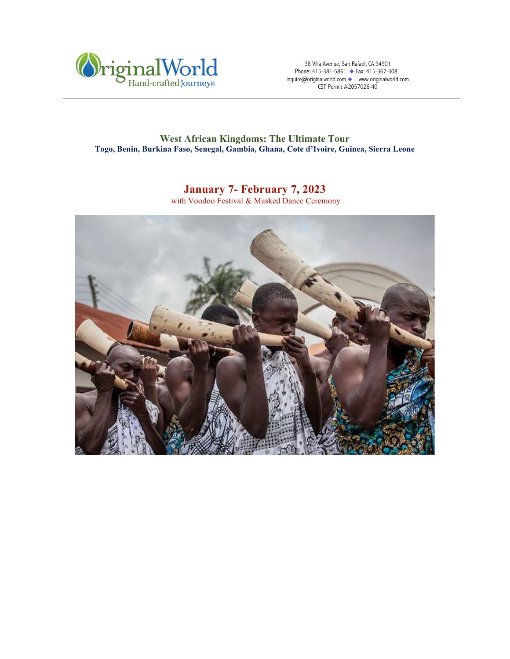

38 Villa Avenue, San Rafael, CA 94901 Phone: 415-381-5861 ◆ Fax: 415-367-3081 inquire@originalworld.com ◆ www.originalworld.com CST Permit #2057026-40

# **West African Kingdoms: The Ultimate Tour Togo, Benin, Burkina Faso, Senegal, Gambia, Ghana, Cote d'Ivoire, Guinea, Sierra Leone**

# **January 7- February 7, 2023**

with Voodoo Festival & Masked Dance Ceremony

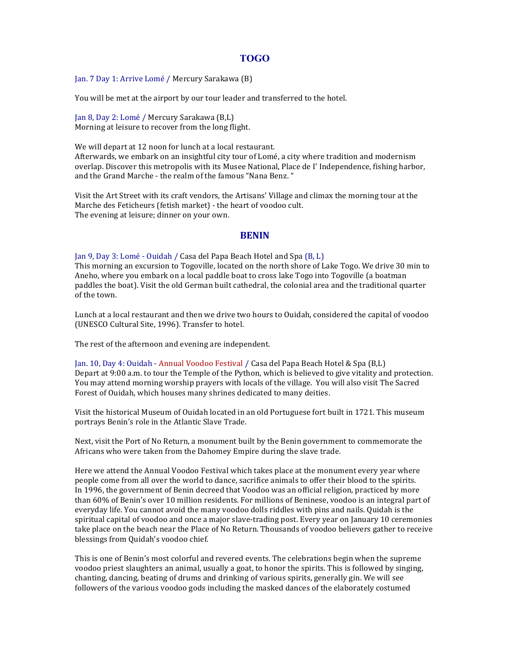# **TOGO**

Jan. 7 Day 1: Arrive Lomé / Mercury Sarakawa (B)

You will be met at the airport by our tour leader and transferred to the hotel.

Jan 8, Day 2: Lomé / Mercury Sarakawa (B,L) Morning at leisure to recover from the long flight.

We will depart at 12 noon for lunch at a local restaurant. Afterwards, we embark on an insightful city tour of Lomé, a city where tradition and modernism overlap. Discover this metropolis with its Musee National, Place de I' Independence, fishing harbor, and the Grand Marche - the realm of the famous "Nana Benz."

Visit the Art Street with its craft vendors, the Artisans' Village and climax the morning tour at the Marche des Feticheurs (fetish market) - the heart of voodoo cult. The evening at leisure; dinner on your own.

# **BENIN**

Jan 9, Day 3: Lomé - Ouidah / Casa del Papa Beach Hotel and Spa (B, L) This morning an excursion to Togoville, located on the north shore of Lake Togo. We drive 30 min to Aneho, where you embark on a local paddle boat to cross lake Togo into Togoville (a boatman paddles the boat). Visit the old German built cathedral, the colonial area and the traditional quarter of the town.

Lunch at a local restaurant and then we drive two hours to Ouidah, considered the capital of voodoo (UNESCO Cultural Site, 1996). Transfer to hotel.

The rest of the afternoon and evening are independent.

Jan. 10, Day 4: Ouidah - Annual Voodoo Festival / Casa del Papa Beach Hotel & Spa (B,L) Depart at 9:00 a.m. to tour the Temple of the Python, which is believed to give vitality and protection. You may attend morning worship prayers with locals of the village. You will also visit The Sacred Forest of Ouidah, which houses many shrines dedicated to many deities.

Visit the historical Museum of Ouidah located in an old Portuguese fort built in 1721. This museum portrays Benin's role in the Atlantic Slave Trade.

Next, visit the Port of No Return, a monument built by the Benin government to commemorate the Africans who were taken from the Dahomey Empire during the slave trade.

Here we attend the Annual Voodoo Festival which takes place at the monument every year where people come from all over the world to dance, sacrifice animals to offer their blood to the spirits. In 1996, the government of Benin decreed that Voodoo was an official religion, practiced by more than 60% of Benin's over 10 million residents. For millions of Beninese, voodoo is an integral part of everyday life. You cannot avoid the many voodoo dolls riddles with pins and nails. Ouidah is the spiritual capital of voodoo and once a major slave-trading post. Every year on January 10 ceremonies take place on the beach near the Place of No Return. Thousands of voodoo believers gather to receive blessings from Quidah's voodoo chief.

This is one of Benin's most colorful and revered events. The celebrations begin when the supreme voodoo priest slaughters an animal, usually a goat, to honor the spirits. This is followed by singing, chanting, dancing, beating of drums and drinking of various spirits, generally gin. We will see followers of the various voodoo gods including the masked dances of the elaborately costumed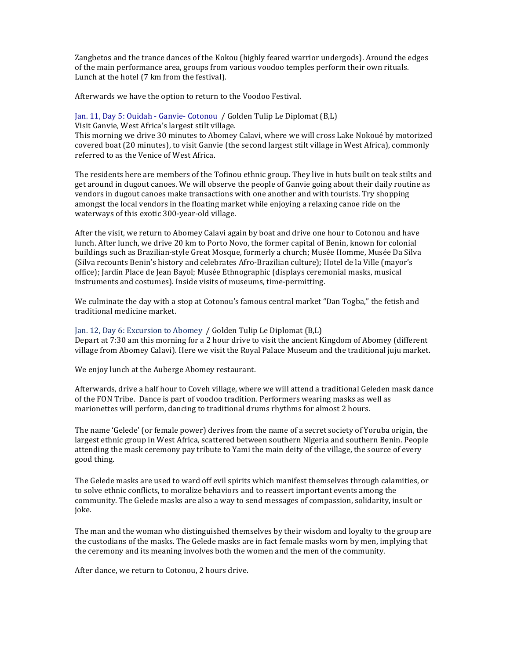Zangbetos and the trance dances of the Kokou (highly feared warrior undergods). Around the edges of the main performance area, groups from various voodoo temples perform their own rituals. Lunch at the hotel (7 km from the festival).

Afterwards we have the option to return to the Voodoo Festival.

#### Jan. 11, Day 5: Ouidah - Ganvie- Cotonou / Golden Tulip Le Diplomat (B,L)

Visit Ganvie, West Africa's largest stilt village.

This morning we drive 30 minutes to Abomey Calavi, where we will cross Lake Nokoué by motorized covered boat (20 minutes), to visit Ganvie (the second largest stilt village in West Africa), commonly referred to as the Venice of West Africa.

The residents here are members of the Tofinou ethnic group. They live in huts built on teak stilts and get around in dugout canoes. We will observe the people of Ganvie going about their daily routine as vendors in dugout canoes make transactions with one another and with tourists. Try shopping amongst the local vendors in the floating market while enjoying a relaxing canoe ride on the waterways of this exotic 300-year-old village.

After the visit, we return to Abomey Calavi again by boat and drive one hour to Cotonou and have lunch. After lunch, we drive 20 km to Porto Novo, the former capital of Benin, known for colonial buildings such as Brazilian-style Great Mosque, formerly a church; Musée Homme, Musée Da Silva (Silva recounts Benin's history and celebrates Afro-Brazilian culture); Hotel de la Ville (mayor's office); Jardin Place de Jean Bayol; Musée Ethnographic (displays ceremonial masks, musical instruments and costumes). Inside visits of museums, time-permitting.

We culminate the day with a stop at Cotonou's famous central market "Dan Togba," the fetish and traditional medicine market.

### Jan. 12, Day 6: Excursion to Abomey / Golden Tulip Le Diplomat (B,L)

Depart at 7:30 am this morning for a 2 hour drive to visit the ancient Kingdom of Abomey (different village from Abomey Calavi). Here we visit the Royal Palace Museum and the traditional juju market.

We enjoy lunch at the Auberge Abomey restaurant.

Afterwards, drive a half hour to Coveh village, where we will attend a traditional Geleden mask dance of the FON Tribe. Dance is part of voodoo tradition. Performers wearing masks as well as marionettes will perform, dancing to traditional drums rhythms for almost 2 hours.

The name 'Gelede' (or female power) derives from the name of a secret society of Yoruba origin, the largest ethnic group in West Africa, scattered between southern Nigeria and southern Benin. People attending the mask ceremony pay tribute to Yami the main deity of the village, the source of every good thing.

The Gelede masks are used to ward off evil spirits which manifest themselves through calamities, or to solve ethnic conflicts, to moralize behaviors and to reassert important events among the community. The Gelede masks are also a way to send messages of compassion, solidarity, insult or joke.

The man and the woman who distinguished themselves by their wisdom and loyalty to the group are the custodians of the masks. The Gelede masks are in fact female masks worn by men, implying that the ceremony and its meaning involves both the women and the men of the community.

After dance, we return to Cotonou, 2 hours drive.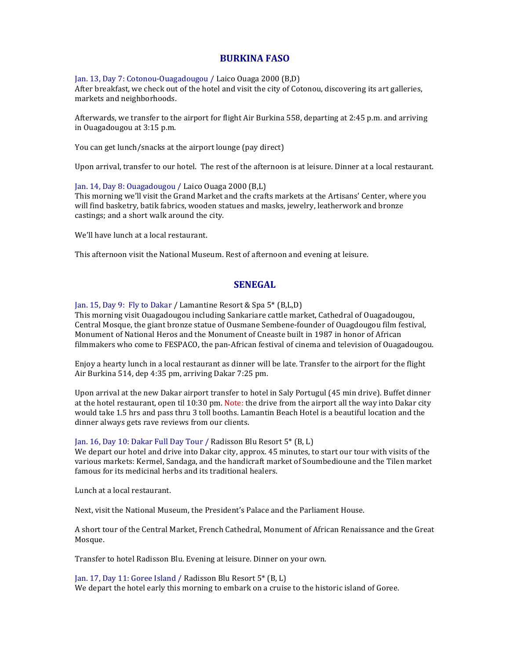### **BURKINA FASO**

Jan. 13, Day 7: Cotonou-Ouagadougou / Laico Ouaga 2000 (B,D) After breakfast, we check out of the hotel and visit the city of Cotonou, discovering its art galleries, markets and neighborhoods.

Afterwards, we transfer to the airport for flight Air Burkina 558, departing at 2:45 p.m. and arriving in Ouagadougou at 3:15 p.m.

You can get lunch/snacks at the airport lounge (pay direct)

Upon arrival, transfer to our hotel. The rest of the afternoon is at leisure. Dinner at a local restaurant.

### Jan. 14, Day 8: Ouagadougou / Laico Ouaga 2000 (B,L)

This morning we'll visit the Grand Market and the crafts markets at the Artisans' Center, where you will find basketry, batik fabrics, wooden statues and masks, jewelry, leatherwork and bronze castings; and a short walk around the city.

We'll have lunch at a local restaurant.

This afternoon visit the National Museum. Rest of afternoon and evening at leisure.

# **SENEGAL**

Jan. 15, Day 9: Fly to Dakar / Lamantine Resort & Spa  $5^*$  (B,L,D)

This morning visit Ouagadougou including Sankariare cattle market, Cathedral of Ouagadougou, Central Mosque, the giant bronze statue of Ousmane Sembene-founder of Ouagdougou film festival, Monument of National Heros and the Monument of Cneaste built in 1987 in honor of African filmmakers who come to FESPACO, the pan-African festival of cinema and television of Ouagadougou.

Enjoy a hearty lunch in a local restaurant as dinner will be late. Transfer to the airport for the flight Air Burkina 514, dep 4:35 pm, arriving Dakar 7:25 pm.

Upon arrival at the new Dakar airport transfer to hotel in Saly Portugul (45 min drive). Buffet dinner at the hotel restaurant, open til 10:30 pm. Note: the drive from the airport all the way into Dakar city would take 1.5 hrs and pass thru 3 toll booths. Lamantin Beach Hotel is a beautiful location and the dinner always gets rave reviews from our clients.

### Jan. 16, Day 10: Dakar Full Day Tour / Radisson Blu Resort  $5^*$  (B, L)

We depart our hotel and drive into Dakar city, approx. 45 minutes, to start our tour with visits of the various markets: Kermel, Sandaga, and the handicraft market of Soumbedioune and the Tilen market famous for its medicinal herbs and its traditional healers.

Lunch at a local restaurant.

Next, visit the National Museum, the President's Palace and the Parliament House.

A short tour of the Central Market, French Cathedral, Monument of African Renaissance and the Great Mosque.

Transfer to hotel Radisson Blu. Evening at leisure. Dinner on your own.

Jan. 17, Day 11: Goree Island / Radisson Blu Resort 5\* (B, L) We depart the hotel early this morning to embark on a cruise to the historic island of Goree.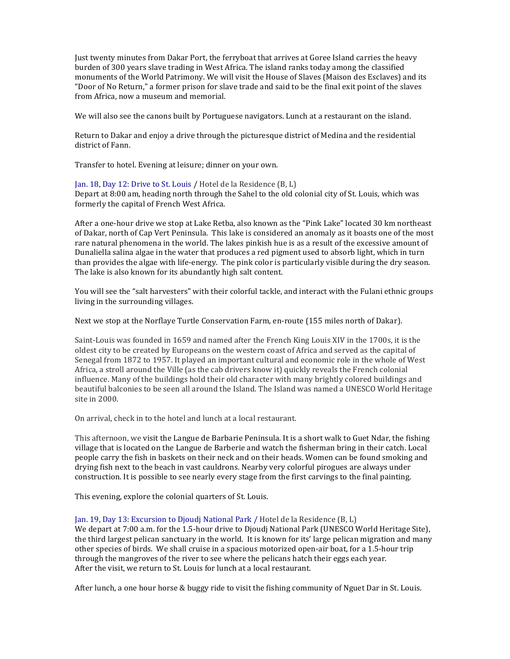Just twenty minutes from Dakar Port, the ferryboat that arrives at Goree Island carries the heavy burden of 300 years slave trading in West Africa. The island ranks today among the classified monuments of the World Patrimony. We will visit the House of Slaves (Maison des Esclaves) and its "Door of No Return," a former prison for slave trade and said to be the final exit point of the slaves from Africa, now a museum and memorial.

We will also see the canons built by Portuguese navigators. Lunch at a restaurant on the island.

Return to Dakar and enjoy a drive through the picturesque district of Medina and the residential district of Fann.

Transfer to hotel. Evening at leisure; dinner on your own.

Ian. 18. Day 12: Drive to St. Louis / Hotel de la Residence (B, L) Depart at 8:00 am, heading north through the Sahel to the old colonial city of St. Louis, which was formerly the capital of French West Africa.

After a one-hour drive we stop at Lake Retba, also known as the "Pink Lake" located 30 km northeast of Dakar, north of Cap Vert Peninsula. This lake is considered an anomaly as it boasts one of the most rare natural phenomena in the world. The lakes pinkish hue is as a result of the excessive amount of Dunaliella salina algae in the water that produces a red pigment used to absorb light, which in turn than provides the algae with life-energy. The pink color is particularly visible during the dry season. The lake is also known for its abundantly high salt content.

You will see the "salt harvesters" with their colorful tackle, and interact with the Fulani ethnic groups living in the surrounding villages.

Next we stop at the Norflaye Turtle Conservation Farm, en-route (155 miles north of Dakar).

Saint-Louis was founded in 1659 and named after the French King Louis XIV in the 1700s, it is the oldest city to be created by Europeans on the western coast of Africa and served as the capital of Senegal from 1872 to 1957. It played an important cultural and economic role in the whole of West Africa, a stroll around the Ville (as the cab drivers know it) quickly reveals the French colonial influence. Many of the buildings hold their old character with many brightly colored buildings and beautiful balconies to be seen all around the Island. The Island was named a UNESCO World Heritage site in 2000.

On arrival, check in to the hotel and lunch at a local restaurant.

This afternoon, we visit the Langue de Barbarie Peninsula. It is a short walk to Guet Ndar, the fishing village that is located on the Langue de Barberie and watch the fisherman bring in their catch. Local people carry the fish in baskets on their neck and on their heads. Women can be found smoking and drying fish next to the beach in vast cauldrons. Nearby very colorful pirogues are always under construction. It is possible to see nearly every stage from the first carvings to the final painting.

This evening, explore the colonial quarters of St. Louis.

Jan. 19, Day 13: Excursion to Djoudj National Park / Hotel de la Residence (B, L)

We depart at 7:00 a.m. for the 1.5-hour drive to Dioudi National Park (UNESCO World Heritage Site), the third largest pelican sanctuary in the world. It is known for its' large pelican migration and many other species of birds. We shall cruise in a spacious motorized open-air boat, for a 1.5-hour trip through the mangroves of the river to see where the pelicans hatch their eggs each year. After the visit, we return to St. Louis for lunch at a local restaurant.

After lunch, a one hour horse  $&$  buggy ride to visit the fishing community of Nguet Dar in St. Louis.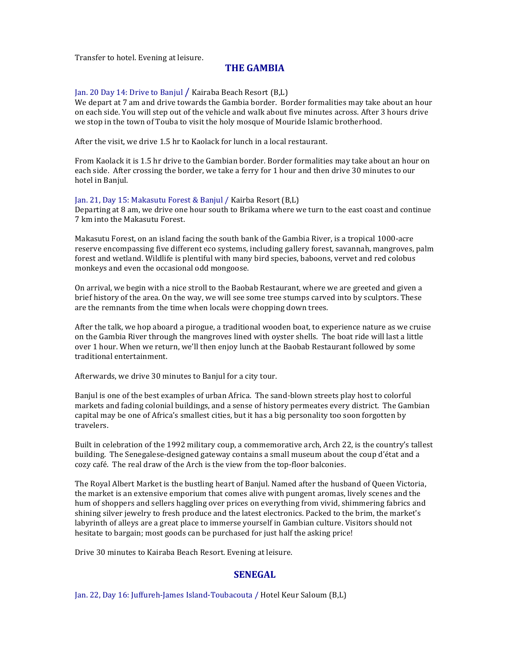Transfer to hotel. Evening at leisure.

# **THE GAMBIA**

### Jan. 20 Day 14: Drive to Banjul / Kairaba Beach Resort (B,L)

We depart at 7 am and drive towards the Gambia border. Border formalities may take about an hour on each side. You will step out of the vehicle and walk about five minutes across. After 3 hours drive we stop in the town of Touba to visit the holy mosque of Mouride Islamic brotherhood.

After the visit, we drive 1.5 hr to Kaolack for lunch in a local restaurant.

From Kaolack it is 1.5 hr drive to the Gambian border. Border formalities may take about an hour on each side. After crossing the border, we take a ferry for 1 hour and then drive 30 minutes to our hotel in Banjul.

#### Jan. 21, Day 15: Makasutu Forest & Banjul / Kairba Resort (B,L)

Departing at  $8$  am, we drive one hour south to Brikama where we turn to the east coast and continue 7 km into the Makasutu Forest.

Makasutu Forest, on an island facing the south bank of the Gambia River, is a tropical 1000-acre reserve encompassing five different eco systems, including gallery forest, savannah, mangroves, palm forest and wetland. Wildlife is plentiful with many bird species, baboons, vervet and red colobus monkeys and even the occasional odd mongoose.

On arrival, we begin with a nice stroll to the Baobab Restaurant, where we are greeted and given a brief history of the area. On the way, we will see some tree stumps carved into by sculptors. These are the remnants from the time when locals were chopping down trees.

After the talk, we hop aboard a pirogue, a traditional wooden boat, to experience nature as we cruise on the Gambia River through the mangroves lined with oyster shells. The boat ride will last a little over 1 hour. When we return, we'll then enjoy lunch at the Baobab Restaurant followed by some traditional entertainment.

Afterwards, we drive 30 minutes to Banjul for a city tour.

Banjul is one of the best examples of urban Africa. The sand-blown streets play host to colorful markets and fading colonial buildings, and a sense of history permeates every district. The Gambian capital may be one of Africa's smallest cities, but it has a big personality too soon forgotten by travelers.

Built in celebration of the 1992 military coup, a commemorative arch, Arch 22, is the country's tallest building. The Senegalese-designed gateway contains a small museum about the coup d'état and a cozy café. The real draw of the Arch is the view from the top-floor balconies.

The Royal Albert Market is the bustling heart of Banjul. Named after the husband of Queen Victoria, the market is an extensive emporium that comes alive with pungent aromas, lively scenes and the hum of shoppers and sellers haggling over prices on everything from vivid, shimmering fabrics and shining silver jewelry to fresh produce and the latest electronics. Packed to the brim, the market's labyrinth of alleys are a great place to immerse yourself in Gambian culture. Visitors should not hesitate to bargain; most goods can be purchased for just half the asking price!

Drive 30 minutes to Kairaba Beach Resort. Evening at leisure.

### **SENEGAL**

Jan. 22, Day 16: Juffureh-James Island-Toubacouta / Hotel Keur Saloum (B,L)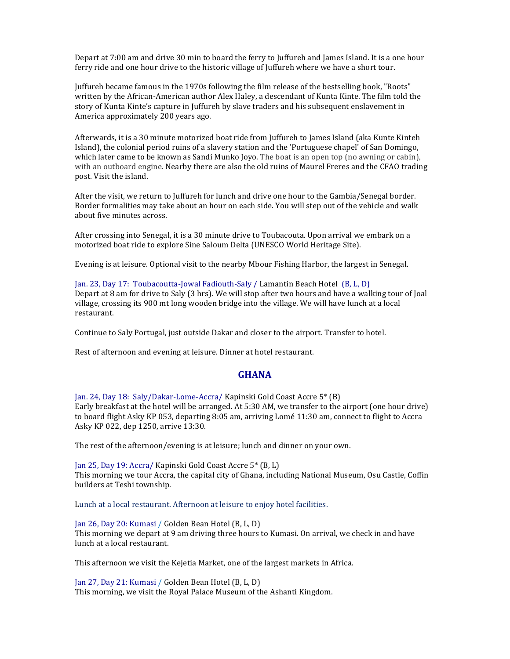Depart at 7:00 am and drive 30 min to board the ferry to Juffureh and James Island. It is a one hour ferry ride and one hour drive to the historic village of Juffureh where we have a short tour.

Juffureh became famous in the 1970s following the film release of the bestselling book, "Roots" written by the African-American author Alex Haley, a descendant of Kunta Kinte. The film told the story of Kunta Kinte's capture in Juffureh by slave traders and his subsequent enslavement in America approximately 200 years ago.

Afterwards, it is a 30 minute motorized boat ride from Juffureh to James Island (aka Kunte Kinteh Island), the colonial period ruins of a slavery station and the 'Portuguese chapel' of San Domingo, which later came to be known as Sandi Munko Joyo. The boat is an open top (no awning or cabin), with an outboard engine. Nearby there are also the old ruins of Maurel Freres and the CFAO trading post. Visit the island.

After the visit, we return to Juffureh for lunch and drive one hour to the Gambia/Senegal border. Border formalities may take about an hour on each side. You will step out of the vehicle and walk about five minutes across.

After crossing into Senegal, it is a 30 minute drive to Toubacouta. Upon arrival we embark on a motorized boat ride to explore Sine Saloum Delta (UNESCO World Heritage Site).

Evening is at leisure. Optional visit to the nearby Mbour Fishing Harbor, the largest in Senegal.

Jan. 23, Day 17: Toubacoutta-Jowal Fadiouth-Saly / Lamantin Beach Hotel (B, L, D) Depart at 8 am for drive to Saly (3 hrs). We will stop after two hours and have a walking tour of Joal village, crossing its 900 mt long wooden bridge into the village. We will have lunch at a local restaurant.

Continue to Saly Portugal, just outside Dakar and closer to the airport. Transfer to hotel.

Rest of afternoon and evening at leisure. Dinner at hotel restaurant.

### **GHANA**

Jan. 24, Day 18: Saly/Dakar-Lome-Accra/ Kapinski Gold Coast Accre 5\* (B) Early breakfast at the hotel will be arranged. At 5:30 AM, we transfer to the airport (one hour drive) to board flight Asky KP 053, departing 8:05 am, arriving Lomé 11:30 am, connect to flight to Accra Asky KP 022, dep 1250, arrive 13:30.

The rest of the afternoon/evening is at leisure; lunch and dinner on your own.

Jan 25, Day 19: Accra/ Kapinski Gold Coast Accre 5\* (B, L) This morning we tour Accra, the capital city of Ghana, including National Museum, Osu Castle, Coffin builders at Teshi township.

Lunch at a local restaurant. Afternoon at leisure to enjoy hotel facilities.

Jan 26, Day 20: Kumasi / Golden Bean Hotel (B, L, D) This morning we depart at 9 am driving three hours to Kumasi. On arrival, we check in and have lunch at a local restaurant.

This afternoon we visit the Kejetia Market, one of the largest markets in Africa.

Jan 27, Day 21: Kumasi / Golden Bean Hotel (B, L, D) This morning, we visit the Royal Palace Museum of the Ashanti Kingdom.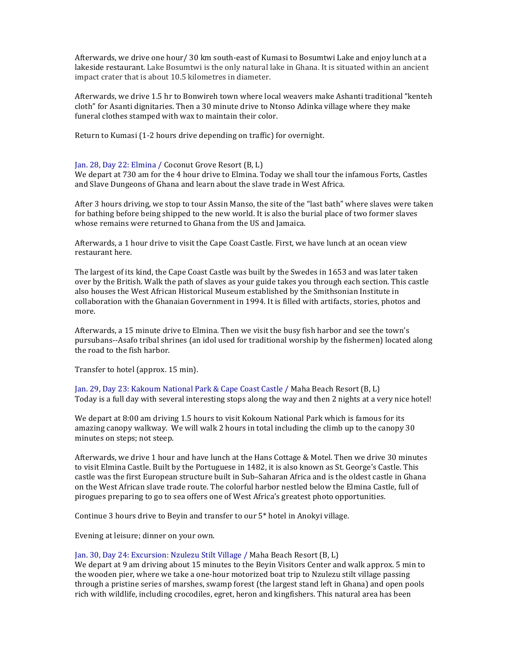Afterwards, we drive one hour/ 30 km south-east of Kumasi to Bosumtwi Lake and enjoy lunch at a lakeside restaurant. Lake Bosumtwi is the only natural lake in Ghana. It is situated within an ancient impact crater that is about 10.5 kilometres in diameter.

Afterwards, we drive 1.5 hr to Bonwireh town where local weavers make Ashanti traditional "kenteh cloth" for Asanti dignitaries. Then a 30 minute drive to Ntonso Adinka village where they make funeral clothes stamped with wax to maintain their color.

Return to Kumasi (1-2 hours drive depending on traffic) for overnight.

### Jan. 28, Day 22: Elmina / Coconut Grove Resort (B, L)

We depart at 730 am for the 4 hour drive to Elmina. Today we shall tour the infamous Forts, Castles and Slave Dungeons of Ghana and learn about the slave trade in West Africa.

After 3 hours driving, we stop to tour Assin Manso, the site of the "last bath" where slaves were taken for bathing before being shipped to the new world. It is also the burial place of two former slaves whose remains were returned to Ghana from the US and Jamaica.

Afterwards, a 1 hour drive to visit the Cape Coast Castle. First, we have lunch at an ocean view restaurant here.

The largest of its kind, the Cape Coast Castle was built by the Swedes in 1653 and was later taken over by the British. Walk the path of slaves as your guide takes you through each section. This castle also houses the West African Historical Museum established by the Smithsonian Institute in collaboration with the Ghanaian Government in 1994. It is filled with artifacts, stories, photos and more.

Afterwards, a 15 minute drive to Elmina. Then we visit the busy fish harbor and see the town's pursubans--Asafo tribal shrines (an idol used for traditional worship by the fishermen) located along the road to the fish harbor

Transfer to hotel (approx. 15 min).

Jan. 29, Day 23: Kakoum National Park & Cape Coast Castle / Maha Beach Resort (B, L) Today is a full day with several interesting stops along the way and then 2 nights at a very nice hotel!

We depart at 8:00 am driving 1.5 hours to visit Kokoum National Park which is famous for its amazing canopy walkway. We will walk 2 hours in total including the climb up to the canopy 30 minutes on steps; not steep.

Afterwards, we drive 1 hour and have lunch at the Hans Cottage & Motel. Then we drive 30 minutes to visit Elmina Castle. Built by the Portuguese in 1482, it is also known as St. George's Castle. This castle was the first European structure built in Sub-Saharan Africa and is the oldest castle in Ghana on the West African slave trade route. The colorful harbor nestled below the Elmina Castle, full of pirogues preparing to go to sea offers one of West Africa's greatest photo opportunities.

Continue 3 hours drive to Beyin and transfer to our 5<sup>\*</sup> hotel in Anokyi village.

Evening at leisure; dinner on your own.

### Jan. 30, Day 24: Excursion: Nzulezu Stilt Village / Maha Beach Resort (B, L)

We depart at 9 am driving about 15 minutes to the Beyin Visitors Center and walk approx. 5 min to the wooden pier, where we take a one-hour motorized boat trip to Nzulezu stilt village passing through a pristine series of marshes, swamp forest (the largest stand left in Ghana) and open pools rich with wildlife, including crocodiles, egret, heron and kingfishers. This natural area has been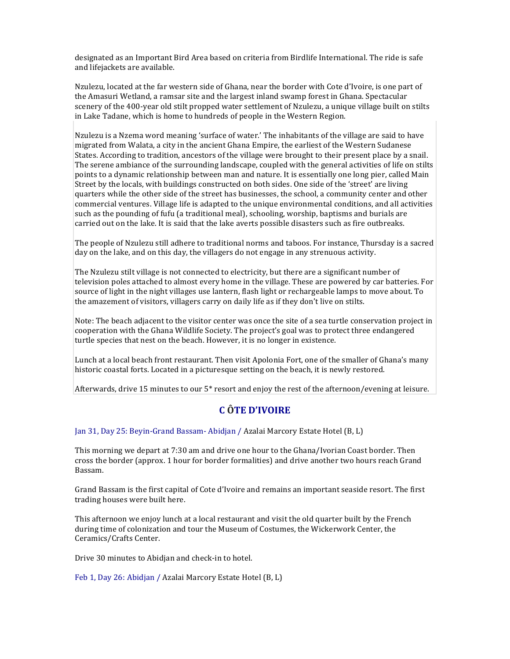designated as an Important Bird Area based on criteria from Birdlife International. The ride is safe and lifejackets are available.

Nzulezu, located at the far western side of Ghana, near the border with Cote d'Ivoire, is one part of the Amasuri Wetland, a ramsar site and the largest inland swamp forest in Ghana. Spectacular scenery of the 400-year old stilt propped water settlement of Nzulezu, a unique village built on stilts in Lake Tadane, which is home to hundreds of people in the Western Region.

Nzulezu is a Nzema word meaning 'surface of water.' The inhabitants of the village are said to have migrated from Walata, a city in the ancient Ghana Empire, the earliest of the Western Sudanese States. According to tradition, ancestors of the village were brought to their present place by a snail. The serene ambiance of the surrounding landscape, coupled with the general activities of life on stilts points to a dynamic relationship between man and nature. It is essentially one long pier, called Main Street by the locals, with buildings constructed on both sides. One side of the 'street' are living quarters while the other side of the street has businesses, the school, a community center and other commercial ventures. Village life is adapted to the unique environmental conditions, and all activities such as the pounding of fufu (a traditional meal), schooling, worship, baptisms and burials are carried out on the lake. It is said that the lake averts possible disasters such as fire outbreaks.

The people of Nzulezu still adhere to traditional norms and taboos. For instance, Thursday is a sacred day on the lake, and on this day, the villagers do not engage in any strenuous activity.

The Nzulezu stilt village is not connected to electricity, but there are a significant number of television poles attached to almost every home in the village. These are powered by car batteries. For source of light in the night villages use lantern, flash light or rechargeable lamps to move about. To the amazement of visitors, villagers carry on daily life as if they don't live on stilts.

Note: The beach adjacent to the visitor center was once the site of a sea turtle conservation project in cooperation with the Ghana Wildlife Society. The project's goal was to protect three endangered turtle species that nest on the beach. However, it is no longer in existence.

Lunch at a local beach front restaurant. Then visit Apolonia Fort, one of the smaller of Ghana's many historic coastal forts. Located in a picturesque setting on the beach, it is newly restored.

Afterwards, drive 15 minutes to our  $5*$  resort and enjoy the rest of the afternoon/evening at leisure.

# **C ÔTE D'IVOIRE**

Jan 31, Day 25: Beyin-Grand Bassam- Abidjan / Azalai Marcory Estate Hotel (B, L)

This morning we depart at 7:30 am and drive one hour to the Ghana/Ivorian Coast border. Then cross the border (approx. 1 hour for border formalities) and drive another two hours reach Grand Bassam. 

Grand Bassam is the first capital of Cote d'Ivoire and remains an important seaside resort. The first trading houses were built here.

This afternoon we enjoy lunch at a local restaurant and visit the old quarter built by the French during time of colonization and tour the Museum of Costumes, the Wickerwork Center, the Ceramics/Crafts Center.

Drive 30 minutes to Abidjan and check-in to hotel.

Feb 1, Day 26: Abidjan / Azalai Marcory Estate Hotel (B, L)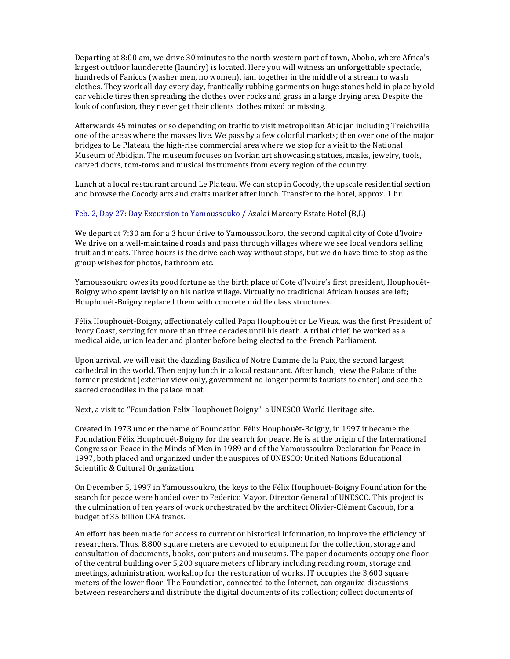Departing at 8:00 am, we drive 30 minutes to the north-western part of town, Abobo, where Africa's largest outdoor launderette (laundry) is located. Here you will witness an unforgettable spectacle, hundreds of Fanicos (washer men, no women), jam together in the middle of a stream to wash clothes. They work all day every day, frantically rubbing garments on huge stones held in place by old car vehicle tires then spreading the clothes over rocks and grass in a large drying area. Despite the look of confusion, they never get their clients clothes mixed or missing.

Afterwards 45 minutes or so depending on traffic to visit metropolitan Abidjan including Treichville, one of the areas where the masses live. We pass by a few colorful markets; then over one of the major bridges to Le Plateau, the high-rise commercial area where we stop for a visit to the National Museum of Abidjan. The museum focuses on Ivorian art showcasing statues, masks, jewelry, tools, carved doors, tom-toms and musical instruments from every region of the country.

Lunch at a local restaurant around Le Plateau. We can stop in Cocody, the upscale residential section and browse the Cocody arts and crafts market after lunch. Transfer to the hotel, approx. 1 hr.

### Feb. 2, Day 27: Day Excursion to Yamoussouko / Azalai Marcory Estate Hotel  $(B,L)$

We depart at 7:30 am for a 3 hour drive to Yamoussoukoro, the second capital city of Cote d'Ivoire. We drive on a well-maintained roads and pass through villages where we see local vendors selling fruit and meats. Three hours is the drive each way without stops, but we do have time to stop as the group wishes for photos, bathroom etc.

Yamoussoukro owes its good fortune as the birth place of Cote d'Ivoire's first president, Houphouët-Boigny who spent lavishly on his native village. Virtually no traditional African houses are left; Houphouët-Boigny replaced them with concrete middle class structures.

Félix Houphouët-Boigny, affectionately called Papa Houphouët or Le Vieux, was the first President of Ivory Coast, serving for more than three decades until his death. A tribal chief, he worked as a medical aide, union leader and planter before being elected to the French Parliament.

Upon arrival, we will visit the dazzling Basilica of Notre Damme de la Paix, the second largest cathedral in the world. Then enjoy lunch in a local restaurant. After lunch, view the Palace of the former president (exterior view only, government no longer permits tourists to enter) and see the sacred crocodiles in the palace moat.

Next, a visit to "Foundation Felix Houphouet Boigny," a UNESCO World Heritage site.

Created in 1973 under the name of Foundation Félix Houphouët-Boigny, in 1997 it became the Foundation Félix Houphouët-Boigny for the search for peace. He is at the origin of the International Congress on Peace in the Minds of Men in 1989 and of the Yamoussoukro Declaration for Peace in 1997, both placed and organized under the auspices of UNESCO: United Nations Educational Scientific & Cultural Organization.

On December 5, 1997 in Yamoussoukro, the keys to the Félix Houphouët-Boigny Foundation for the search for peace were handed over to Federico Mayor, Director General of UNESCO. This project is the culmination of ten years of work orchestrated by the architect Olivier-Clément Cacoub, for a budget of 35 billion CFA francs.

An effort has been made for access to current or historical information, to improve the efficiency of researchers. Thus, 8,800 square meters are devoted to equipment for the collection, storage and consultation of documents, books, computers and museums. The paper documents occupy one floor of the central building over 5,200 square meters of library including reading room, storage and meetings, administration, workshop for the restoration of works. IT occupies the 3,600 square meters of the lower floor. The Foundation, connected to the Internet, can organize discussions between researchers and distribute the digital documents of its collection; collect documents of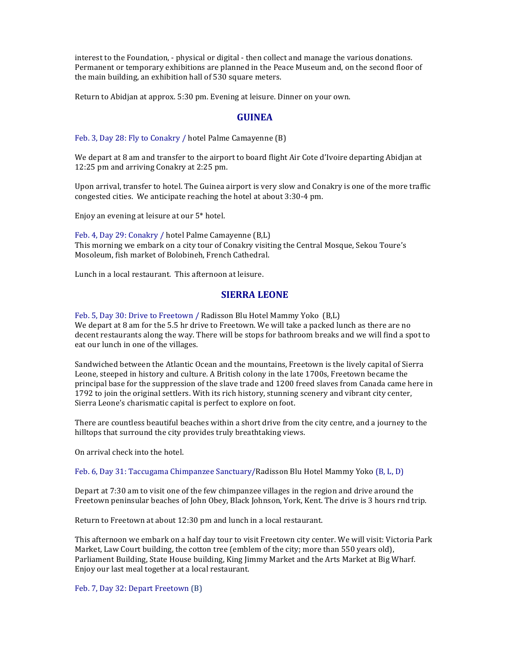interest to the Foundation, - physical or digital - then collect and manage the various donations. Permanent or temporary exhibitions are planned in the Peace Museum and, on the second floor of the main building, an exhibition hall of 530 square meters.

Return to Abidjan at approx. 5:30 pm. Evening at leisure. Dinner on your own.

### **GUINEA**

Feb. 3, Day 28: Fly to Conakry / hotel Palme Camayenne (B)

We depart at 8 am and transfer to the airport to board flight Air Cote d'Ivoire departing Abidian at 12:25 pm and arriving Conakry at 2:25 pm.

Upon arrival, transfer to hotel. The Guinea airport is very slow and Conakry is one of the more traffic congested cities. We anticipate reaching the hotel at about 3:30-4 pm.

Enjoy an evening at leisure at our 5<sup>\*</sup> hotel.

Feb. 4, Day 29: Conakry / hotel Palme Camayenne (B,L) This morning we embark on a city tour of Conakry visiting the Central Mosque, Sekou Toure's Mosoleum, fish market of Bolobineh, French Cathedral.

Lunch in a local restaurant. This afternoon at leisure.

# **SIERRA LEONE**

Feb. 5, Day 30: Drive to Freetown / Radisson Blu Hotel Mammy Yoko (B,L) We depart at 8 am for the 5.5 hr drive to Freetown. We will take a packed lunch as there are no decent restaurants along the way. There will be stops for bathroom breaks and we will find a spot to eat our lunch in one of the villages.

Sandwiched between the Atlantic Ocean and the mountains, Freetown is the lively capital of Sierra Leone, steeped in history and culture. A British colony in the late 1700s, Freetown became the principal base for the suppression of the slave trade and 1200 freed slaves from Canada came here in 1792 to join the original settlers. With its rich history, stunning scenery and vibrant city center, Sierra Leone's charismatic capital is perfect to explore on foot.

There are countless beautiful beaches within a short drive from the city centre, and a journey to the hilltops that surround the city provides truly breathtaking views.

On arrival check into the hotel.

Feb. 6, Day 31: Taccugama Chimpanzee Sanctuary/Radisson Blu Hotel Mammy Yoko (B, L, D)

Depart at  $7:30$  am to visit one of the few chimpanzee villages in the region and drive around the Freetown peninsular beaches of John Obey, Black Johnson, York, Kent. The drive is 3 hours rnd trip.

Return to Freetown at about 12:30 pm and lunch in a local restaurant.

This afternoon we embark on a half day tour to visit Freetown city center. We will visit: Victoria Park Market, Law Court building, the cotton tree (emblem of the city; more than 550 years old), Parliament Building, State House building, King Jimmy Market and the Arts Market at Big Wharf. Enjoy our last meal together at a local restaurant.

Feb. 7, Day 32: Depart Freetown (B)